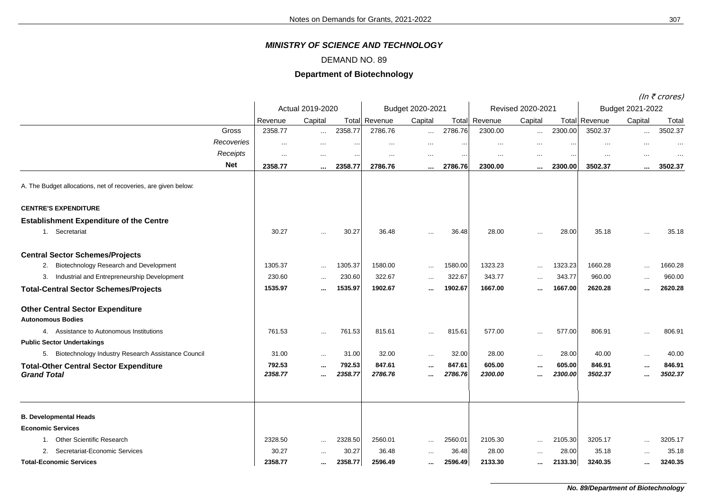## *MINISTRY OF SCIENCE AND TECHNOLOGY*

## DEMAND NO. 89

## **Department of Biotechnology**

(In  $\bar{\tau}$  crores)

|                                                                     |                   |                  |                   |                      |                  |                   |                   |                   |                   |                      |                  | (In < crores)     |  |
|---------------------------------------------------------------------|-------------------|------------------|-------------------|----------------------|------------------|-------------------|-------------------|-------------------|-------------------|----------------------|------------------|-------------------|--|
|                                                                     |                   | Actual 2019-2020 |                   |                      | Budget 2020-2021 |                   |                   | Revised 2020-2021 |                   |                      | Budget 2021-2022 |                   |  |
|                                                                     | Revenue           | Capital          |                   | <b>Total Revenue</b> | Capital          |                   | Total Revenue     | Capital           |                   | <b>Total Revenue</b> | Capital          | Total             |  |
| Gross                                                               | 2358.77           | $\ldots$         | 2358.77           | 2786.76              | $\sim$           | 2786.76           | 2300.00           | $\ldots$          | 2300.00           | 3502.37              | $\ldots$         | 3502.37           |  |
| Recoveries                                                          |                   | $\cdots$         | $\cdots$          | $\cdots$             | $\cdots$         |                   | $\cdots$          | $\cdots$          | $\cdot$ .         |                      | $\cdot \cdot$    |                   |  |
| Receipts                                                            |                   | $\cdots$         | $\cdots$          | $\cdots$             | $\cdots$         | $\cdots$          | $\cdots$          | $\cdots$          | $\cdot$ .         | $\cdots$             | $\ddotsc$        |                   |  |
| <b>Net</b>                                                          | 2358.77           | $\cdots$         | 2358.77           | 2786.76              | $\cdots$         | 2786.76           | 2300.00           | $\cdots$          | 2300.00           | 3502.37              | $\cdots$         | 3502.37           |  |
| A. The Budget allocations, net of recoveries, are given below:      |                   |                  |                   |                      |                  |                   |                   |                   |                   |                      |                  |                   |  |
| <b>CENTRE'S EXPENDITURE</b>                                         |                   |                  |                   |                      |                  |                   |                   |                   |                   |                      |                  |                   |  |
| <b>Establishment Expenditure of the Centre</b>                      |                   |                  |                   |                      |                  |                   |                   |                   |                   |                      |                  |                   |  |
| 1. Secretariat                                                      | 30.27             | $\ddotsc$        | 30.27             | 36.48                |                  | 36.48             | 28.00             |                   | 28.00             | 35.18                | $\cdots$         | 35.18             |  |
| <b>Central Sector Schemes/Projects</b>                              |                   |                  |                   |                      |                  |                   |                   |                   |                   |                      |                  |                   |  |
| 2. Biotechnology Research and Development                           | 1305.37           | $\ddotsc$        | 1305.37           | 1580.00              | $\cdots$         | 1580.00           | 1323.23           | $\sim$            | 1323.23           | 1660.28              | $\cdots$         | 1660.28           |  |
| Industrial and Entrepreneurship Development<br>3.                   | 230.60            | $\cdots$         | 230.60            | 322.67               | $\ddotsc$        | 322.67            | 343.77            | $\cdots$          | 343.77            | 960.00               | $\cdots$         | 960.00            |  |
| <b>Total-Central Sector Schemes/Projects</b>                        | 1535.97           | $\ddotsc$        | 1535.97           | 1902.67              |                  | 1902.67           | 1667.00           | $\cdots$          | 1667.00           | 2620.28              | $\ddotsc$        | 2620.28           |  |
| <b>Other Central Sector Expenditure</b><br><b>Autonomous Bodies</b> |                   |                  |                   |                      |                  |                   |                   |                   |                   |                      |                  |                   |  |
| 4. Assistance to Autonomous Institutions                            | 761.53            | $\ddotsc$        | 761.53            | 815.61               | $\ddotsc$        | 815.61            | 577.00            | $\ddotsc$         | 577.00            | 806.91               | $\ddotsc$        | 806.91            |  |
| <b>Public Sector Undertakings</b>                                   |                   |                  |                   |                      |                  |                   |                   |                   |                   |                      |                  |                   |  |
| 5. Biotechnology Industry Research Assistance Council               | 31.00             | $\cdots$         | 31.00             | 32.00                | $\sim$ $\sim$    | 32.00             | 28.00             | $\sim$            | 28.00             | 40.00                | $\ddotsc$        | 40.00             |  |
| <b>Total-Other Central Sector Expenditure</b><br><b>Grand Total</b> | 792.53<br>2358.77 | $\ddotsc$<br>    | 792.53<br>2358.77 | 847.61<br>2786.76    | $\ddotsc$<br>    | 847.61<br>2786.76 | 605.00<br>2300.00 | $\cdots$<br>      | 605.00<br>2300.00 | 846.91<br>3502.37    | $\ddotsc$<br>    | 846.91<br>3502.37 |  |
| <b>B. Developmental Heads</b>                                       |                   |                  |                   |                      |                  |                   |                   |                   |                   |                      |                  |                   |  |
| <b>Economic Services</b>                                            |                   |                  |                   |                      |                  |                   |                   |                   |                   |                      |                  |                   |  |
| 1. Other Scientific Research                                        | 2328.50           |                  | 2328.50           | 2560.01              | $\cdots$         | 2560.01           | 2105.30           | $\cdots$          | 2105.30           | 3205.17              | .                | 3205.17           |  |
| Secretariat-Economic Services<br>2.                                 | 30.27             | $\cdots$         | 30.27             | 36.48                | $\cdots$         | 36.48             | 28.00             | $\ddotsc$         | 28.00             | 35.18                | $\ddotsc$        | 35.18             |  |
| <b>Total-Economic Services</b>                                      | 2358.77           | $\cdots$         | 2358.77           | 2596.49              |                  | 2596.49           | 2133.30           |                   | 2133.30           | 3240.35              |                  | 3240.35           |  |